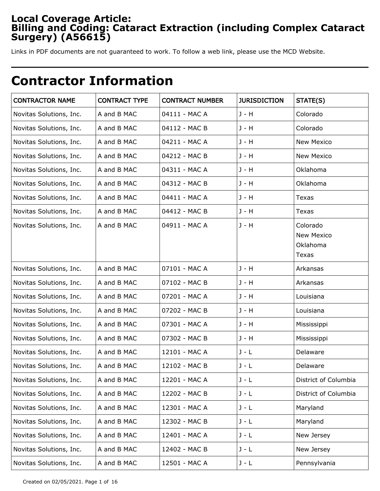# **Local Coverage Article: Billing and Coding: Cataract Extraction (including Complex Cataract Surgery) (A56615)**

Links in PDF documents are not guaranteed to work. To follow a web link, please use the MCD Website.

# **Contractor Information**

| <b>CONTRACTOR NAME</b>  | <b>CONTRACT TYPE</b> | <b>CONTRACT NUMBER</b> | <b>JURISDICTION</b> | STATE(S)                                           |
|-------------------------|----------------------|------------------------|---------------------|----------------------------------------------------|
| Novitas Solutions, Inc. | A and B MAC          | 04111 - MAC A          | $J - H$             | Colorado                                           |
| Novitas Solutions, Inc. | A and B MAC          | 04112 - MAC B          | J - H               | Colorado                                           |
| Novitas Solutions, Inc. | A and B MAC          | 04211 - MAC A          | J - H               | New Mexico                                         |
| Novitas Solutions, Inc. | A and B MAC          | 04212 - MAC B          | J - H               | New Mexico                                         |
| Novitas Solutions, Inc. | A and B MAC          | 04311 - MAC A          | J - H               | Oklahoma                                           |
| Novitas Solutions, Inc. | A and B MAC          | 04312 - MAC B          | J - H               | Oklahoma                                           |
| Novitas Solutions, Inc. | A and B MAC          | 04411 - MAC A          | J - H               | Texas                                              |
| Novitas Solutions, Inc. | A and B MAC          | 04412 - MAC B          | J - H               | Texas                                              |
| Novitas Solutions, Inc. | A and B MAC          | 04911 - MAC A          | J - H               | Colorado<br><b>New Mexico</b><br>Oklahoma<br>Texas |
| Novitas Solutions, Inc. | A and B MAC          | 07101 - MAC A          | J - H               | Arkansas                                           |
| Novitas Solutions, Inc. | A and B MAC          | 07102 - MAC B          | J - H               | Arkansas                                           |
| Novitas Solutions, Inc. | A and B MAC          | 07201 - MAC A          | J - H               | Louisiana                                          |
| Novitas Solutions, Inc. | A and B MAC          | 07202 - MAC B          | J - H               | Louisiana                                          |
| Novitas Solutions, Inc. | A and B MAC          | 07301 - MAC A          | J - H               | Mississippi                                        |
| Novitas Solutions, Inc. | A and B MAC          | 07302 - MAC B          | J - H               | Mississippi                                        |
| Novitas Solutions, Inc. | A and B MAC          | 12101 - MAC A          | $J - L$             | Delaware                                           |
| Novitas Solutions, Inc. | A and B MAC          | 12102 - MAC B          | $J - L$             | Delaware                                           |
| Novitas Solutions, Inc. | A and B MAC          | 12201 - MAC A          | $J - L$             | District of Columbia                               |
| Novitas Solutions, Inc. | A and B MAC          | 12202 - MAC B          | $J - L$             | District of Columbia                               |
| Novitas Solutions, Inc. | A and B MAC          | 12301 - MAC A          | $J - L$             | Maryland                                           |
| Novitas Solutions, Inc. | A and B MAC          | 12302 - MAC B          | $J - L$             | Maryland                                           |
| Novitas Solutions, Inc. | A and B MAC          | 12401 - MAC A          | $J - L$             | New Jersey                                         |
| Novitas Solutions, Inc. | A and B MAC          | 12402 - MAC B          | $J - L$             | New Jersey                                         |
| Novitas Solutions, Inc. | A and B MAC          | 12501 - MAC A          | J - L               | Pennsylvania                                       |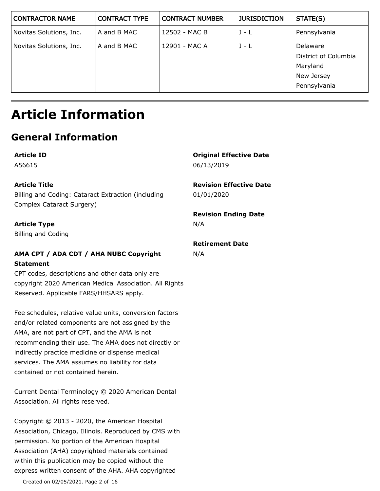| <b>CONTRACTOR NAME</b>  | <b>CONTRACT TYPE</b> | <b>CONTRACT NUMBER</b> | <b>JURISDICTION</b> | STATE(S)                                                                   |
|-------------------------|----------------------|------------------------|---------------------|----------------------------------------------------------------------------|
| Novitas Solutions, Inc. | A and B MAC          | 12502 - MAC B          | $J - L$             | Pennsylvania                                                               |
| Novitas Solutions, Inc. | A and B MAC          | 12901 - MAC A          | $J - L$             | Delaware<br>District of Columbia<br>Maryland<br>New Jersey<br>Pennsylvania |

# **Article Information**

# **General Information**

**Article ID** A56615

### **Article Title**

Billing and Coding: Cataract Extraction (including Complex Cataract Surgery)

### **Article Type**

Billing and Coding

# **AMA CPT / ADA CDT / AHA NUBC Copyright Statement**

CPT codes, descriptions and other data only are copyright 2020 American Medical Association. All Rights Reserved. Applicable FARS/HHSARS apply.

Fee schedules, relative value units, conversion factors and/or related components are not assigned by the AMA, are not part of CPT, and the AMA is not recommending their use. The AMA does not directly or indirectly practice medicine or dispense medical services. The AMA assumes no liability for data contained or not contained herein.

Current Dental Terminology © 2020 American Dental Association. All rights reserved.

Copyright © 2013 - 2020, the American Hospital Association, Chicago, Illinois. Reproduced by CMS with permission. No portion of the American Hospital Association (AHA) copyrighted materials contained within this publication may be copied without the express written consent of the AHA. AHA copyrighted

Created on 02/05/2021. Page 2 of 16

**Original Effective Date** 06/13/2019

#### **Revision Effective Date** 01/01/2020

#### **Revision Ending Date** N/A

### **Retirement Date**

N/A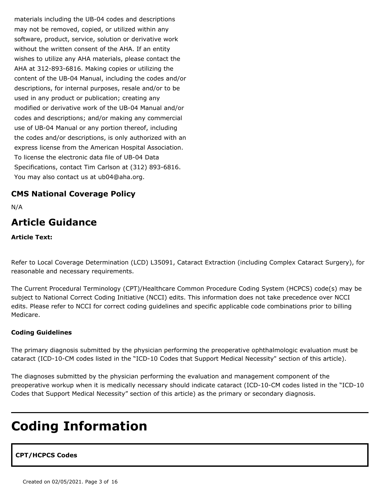materials including the UB-04 codes and descriptions may not be removed, copied, or utilized within any software, product, service, solution or derivative work without the written consent of the AHA. If an entity wishes to utilize any AHA materials, please contact the AHA at 312-893-6816. Making copies or utilizing the content of the UB-04 Manual, including the codes and/or descriptions, for internal purposes, resale and/or to be used in any product or publication; creating any modified or derivative work of the UB-04 Manual and/or codes and descriptions; and/or making any commercial use of UB-04 Manual or any portion thereof, including the codes and/or descriptions, is only authorized with an express license from the American Hospital Association. To license the electronic data file of UB-04 Data Specifications, contact Tim Carlson at (312) 893-6816. You may also contact us at ub04@aha.org.

# **CMS National Coverage Policy**

N/A

# **Article Guidance**

**Article Text:**

Refer to Local Coverage Determination (LCD) L35091, Cataract Extraction (including Complex Cataract Surgery), for reasonable and necessary requirements.

The Current Procedural Terminology (CPT)/Healthcare Common Procedure Coding System (HCPCS) code(s) may be subject to National Correct Coding Initiative (NCCI) edits. This information does not take precedence over NCCI edits. Please refer to NCCI for correct coding guidelines and specific applicable code combinations prior to billing Medicare.

#### **Coding Guidelines**

The primary diagnosis submitted by the physician performing the preoperative ophthalmologic evaluation must be cataract (ICD-10-CM codes listed in the "ICD-10 Codes that Support Medical Necessity" section of this article).

The diagnoses submitted by the physician performing the evaluation and management component of the preoperative workup when it is medically necessary should indicate cataract (ICD-10-CM codes listed in the "ICD-10 Codes that Support Medical Necessity" section of this article) as the primary or secondary diagnosis.

# **Coding Information**

# **CPT/HCPCS Codes**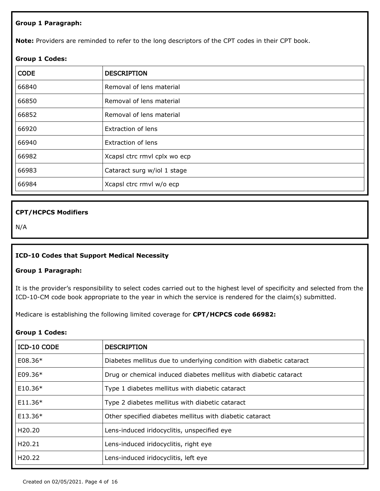#### **Group 1 Paragraph:**

**Note:** Providers are reminded to refer to the long descriptors of the CPT codes in their CPT book.

#### **Group 1 Codes:**

| <b>CODE</b> | <b>DESCRIPTION</b>           |
|-------------|------------------------------|
| 66840       | Removal of lens material     |
| 66850       | Removal of lens material     |
| 66852       | Removal of lens material     |
| 66920       | Extraction of lens           |
| 66940       | Extraction of lens           |
| 66982       | Xcapsl ctrc rmvl cplx wo ecp |
| 66983       | Cataract surg w/iol 1 stage  |
| 66984       | Xcapsl ctrc rmvl w/o ecp     |

#### **CPT/HCPCS Modifiers**

N/A

#### **ICD-10 Codes that Support Medical Necessity**

#### **Group 1 Paragraph:**

It is the provider's responsibility to select codes carried out to the highest level of specificity and selected from the ICD-10-CM code book appropriate to the year in which the service is rendered for the claim(s) submitted.

Medicare is establishing the following limited coverage for **CPT/HCPCS code 66982:**

#### **Group 1 Codes:**

| ICD-10 CODE         | <b>DESCRIPTION</b>                                                   |
|---------------------|----------------------------------------------------------------------|
| $E08.36*$           | Diabetes mellitus due to underlying condition with diabetic cataract |
| E09.36*             | Drug or chemical induced diabetes mellitus with diabetic cataract    |
| $E10.36*$           | Type 1 diabetes mellitus with diabetic cataract                      |
| $E11.36*$           | Type 2 diabetes mellitus with diabetic cataract                      |
| $E13.36*$           | Other specified diabetes mellitus with diabetic cataract             |
| H <sub>20</sub> .20 | Lens-induced iridocyclitis, unspecified eye                          |
| H20.21              | Lens-induced iridocyclitis, right eye                                |
| H <sub>20.22</sub>  | Lens-induced iridocyclitis, left eye                                 |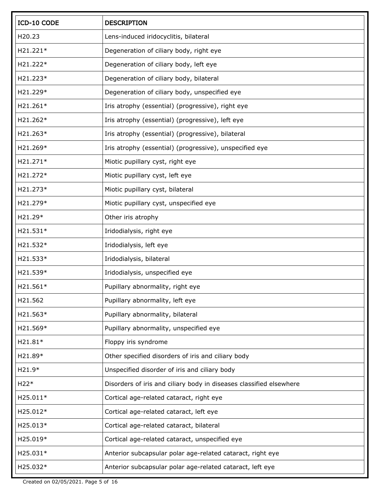| ICD-10 CODE | <b>DESCRIPTION</b>                                                  |
|-------------|---------------------------------------------------------------------|
| H20.23      | Lens-induced iridocyclitis, bilateral                               |
| H21.221*    | Degeneration of ciliary body, right eye                             |
| H21.222*    | Degeneration of ciliary body, left eye                              |
| H21.223*    | Degeneration of ciliary body, bilateral                             |
| H21.229*    | Degeneration of ciliary body, unspecified eye                       |
| H21.261*    | Iris atrophy (essential) (progressive), right eye                   |
| H21.262*    | Iris atrophy (essential) (progressive), left eye                    |
| H21.263*    | Iris atrophy (essential) (progressive), bilateral                   |
| H21.269*    | Iris atrophy (essential) (progressive), unspecified eye             |
| H21.271*    | Miotic pupillary cyst, right eye                                    |
| H21.272*    | Miotic pupillary cyst, left eye                                     |
| H21.273*    | Miotic pupillary cyst, bilateral                                    |
| H21.279*    | Miotic pupillary cyst, unspecified eye                              |
| H21.29*     | Other iris atrophy                                                  |
| H21.531*    | Iridodialysis, right eye                                            |
| H21.532*    | Iridodialysis, left eye                                             |
| H21.533*    | Iridodialysis, bilateral                                            |
| H21.539*    | Iridodialysis, unspecified eye                                      |
| H21.561*    | Pupillary abnormality, right eye                                    |
| H21.562     | Pupillary abnormality, left eye                                     |
| H21.563*    | Pupillary abnormality, bilateral                                    |
| H21.569*    | Pupillary abnormality, unspecified eye                              |
| H21.81*     | Floppy iris syndrome                                                |
| H21.89*     | Other specified disorders of iris and ciliary body                  |
| H21.9*      | Unspecified disorder of iris and ciliary body                       |
| $H22*$      | Disorders of iris and ciliary body in diseases classified elsewhere |
| H25.011*    | Cortical age-related cataract, right eye                            |
| H25.012*    | Cortical age-related cataract, left eye                             |
| H25.013*    | Cortical age-related cataract, bilateral                            |
| H25.019*    | Cortical age-related cataract, unspecified eye                      |
| H25.031*    | Anterior subcapsular polar age-related cataract, right eye          |
| H25.032*    | Anterior subcapsular polar age-related cataract, left eye           |

Created on 02/05/2021. Page 5 of 16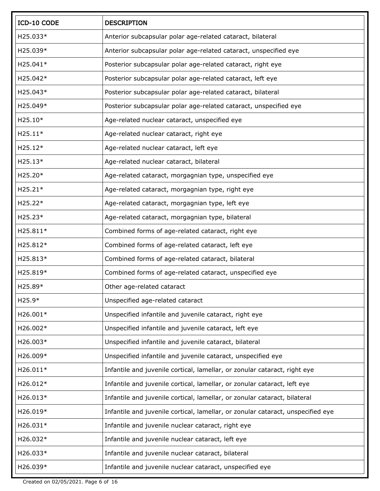| ICD-10 CODE | <b>DESCRIPTION</b>                                                              |
|-------------|---------------------------------------------------------------------------------|
| H25.033*    | Anterior subcapsular polar age-related cataract, bilateral                      |
| H25.039*    | Anterior subcapsular polar age-related cataract, unspecified eye                |
| H25.041*    | Posterior subcapsular polar age-related cataract, right eye                     |
| H25.042*    | Posterior subcapsular polar age-related cataract, left eye                      |
| H25.043*    | Posterior subcapsular polar age-related cataract, bilateral                     |
| H25.049*    | Posterior subcapsular polar age-related cataract, unspecified eye               |
| H25.10*     | Age-related nuclear cataract, unspecified eye                                   |
| $H25.11*$   | Age-related nuclear cataract, right eye                                         |
| $H25.12*$   | Age-related nuclear cataract, left eye                                          |
| $H25.13*$   | Age-related nuclear cataract, bilateral                                         |
| H25.20*     | Age-related cataract, morgagnian type, unspecified eye                          |
| $H25.21*$   | Age-related cataract, morgagnian type, right eye                                |
| $H25.22*$   | Age-related cataract, morgagnian type, left eye                                 |
| H25.23*     | Age-related cataract, morgagnian type, bilateral                                |
| H25.811*    | Combined forms of age-related cataract, right eye                               |
| H25.812*    | Combined forms of age-related cataract, left eye                                |
| H25.813*    | Combined forms of age-related cataract, bilateral                               |
| H25.819*    | Combined forms of age-related cataract, unspecified eye                         |
| H25.89*     | Other age-related cataract                                                      |
| $H25.9*$    | Unspecified age-related cataract                                                |
| H26.001*    | Unspecified infantile and juvenile cataract, right eye                          |
| H26.002*    | Unspecified infantile and juvenile cataract, left eye                           |
| H26.003*    | Unspecified infantile and juvenile cataract, bilateral                          |
| H26.009*    | Unspecified infantile and juvenile cataract, unspecified eye                    |
| H26.011*    | Infantile and juvenile cortical, lamellar, or zonular cataract, right eye       |
| H26.012*    | Infantile and juvenile cortical, lamellar, or zonular cataract, left eye        |
| H26.013*    | Infantile and juvenile cortical, lamellar, or zonular cataract, bilateral       |
| H26.019*    | Infantile and juvenile cortical, lamellar, or zonular cataract, unspecified eye |
| H26.031*    | Infantile and juvenile nuclear cataract, right eye                              |
| H26.032*    | Infantile and juvenile nuclear cataract, left eye                               |
| H26.033*    | Infantile and juvenile nuclear cataract, bilateral                              |
| H26.039*    | Infantile and juvenile nuclear cataract, unspecified eye                        |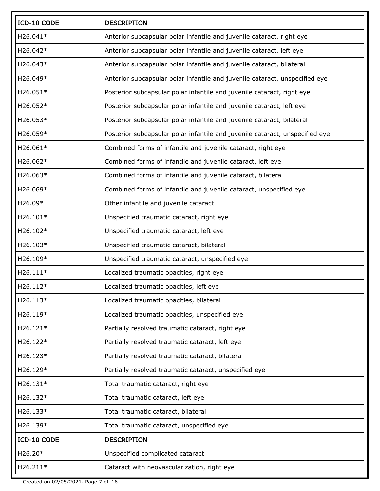| ICD-10 CODE | <b>DESCRIPTION</b>                                                           |
|-------------|------------------------------------------------------------------------------|
| H26.041*    | Anterior subcapsular polar infantile and juvenile cataract, right eye        |
| H26.042*    | Anterior subcapsular polar infantile and juvenile cataract, left eye         |
| H26.043*    | Anterior subcapsular polar infantile and juvenile cataract, bilateral        |
| H26.049*    | Anterior subcapsular polar infantile and juvenile cataract, unspecified eye  |
| H26.051*    | Posterior subcapsular polar infantile and juvenile cataract, right eye       |
| H26.052*    | Posterior subcapsular polar infantile and juvenile cataract, left eye        |
| H26.053*    | Posterior subcapsular polar infantile and juvenile cataract, bilateral       |
| H26.059*    | Posterior subcapsular polar infantile and juvenile cataract, unspecified eye |
| H26.061*    | Combined forms of infantile and juvenile cataract, right eye                 |
| H26.062*    | Combined forms of infantile and juvenile cataract, left eye                  |
| H26.063*    | Combined forms of infantile and juvenile cataract, bilateral                 |
| H26.069*    | Combined forms of infantile and juvenile cataract, unspecified eye           |
| H26.09*     | Other infantile and juvenile cataract                                        |
| H26.101*    | Unspecified traumatic cataract, right eye                                    |
| H26.102*    | Unspecified traumatic cataract, left eye                                     |
| H26.103*    | Unspecified traumatic cataract, bilateral                                    |
| H26.109*    | Unspecified traumatic cataract, unspecified eye                              |
| H26.111*    | Localized traumatic opacities, right eye                                     |
| H26.112*    | Localized traumatic opacities, left eye                                      |
| H26.113*    | Localized traumatic opacities, bilateral                                     |
| H26.119*    | Localized traumatic opacities, unspecified eye                               |
| H26.121*    | Partially resolved traumatic cataract, right eye                             |
| H26.122*    | Partially resolved traumatic cataract, left eye                              |
| H26.123*    | Partially resolved traumatic cataract, bilateral                             |
| H26.129*    | Partially resolved traumatic cataract, unspecified eye                       |
| H26.131*    | Total traumatic cataract, right eye                                          |
| H26.132*    | Total traumatic cataract, left eye                                           |
| H26.133*    | Total traumatic cataract, bilateral                                          |
| H26.139*    | Total traumatic cataract, unspecified eye                                    |
| ICD-10 CODE | <b>DESCRIPTION</b>                                                           |
| H26.20*     | Unspecified complicated cataract                                             |
| H26.211*    | Cataract with neovascularization, right eye                                  |

Created on 02/05/2021. Page 7 of 16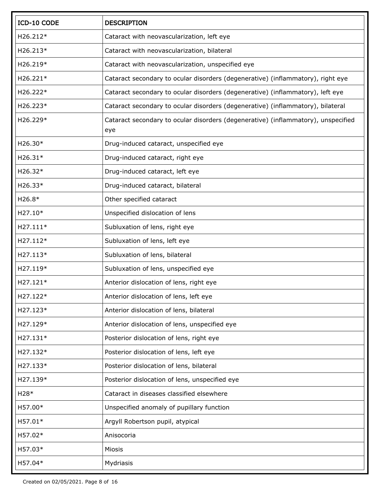| ICD-10 CODE | <b>DESCRIPTION</b>                                                                       |
|-------------|------------------------------------------------------------------------------------------|
| H26.212*    | Cataract with neovascularization, left eye                                               |
| H26.213*    | Cataract with neovascularization, bilateral                                              |
| H26.219*    | Cataract with neovascularization, unspecified eye                                        |
| H26.221*    | Cataract secondary to ocular disorders (degenerative) (inflammatory), right eye          |
| H26.222*    | Cataract secondary to ocular disorders (degenerative) (inflammatory), left eye           |
| H26.223*    | Cataract secondary to ocular disorders (degenerative) (inflammatory), bilateral          |
| H26.229*    | Cataract secondary to ocular disorders (degenerative) (inflammatory), unspecified<br>eye |
| H26.30*     | Drug-induced cataract, unspecified eye                                                   |
| $H26.31*$   | Drug-induced cataract, right eye                                                         |
| H26.32*     | Drug-induced cataract, left eye                                                          |
| H26.33*     | Drug-induced cataract, bilateral                                                         |
| $H26.8*$    | Other specified cataract                                                                 |
| H27.10*     | Unspecified dislocation of lens                                                          |
| H27.111*    | Subluxation of lens, right eye                                                           |
| H27.112*    | Subluxation of lens, left eye                                                            |
| H27.113*    | Subluxation of lens, bilateral                                                           |
| H27.119*    | Subluxation of lens, unspecified eye                                                     |
| H27.121*    | Anterior dislocation of lens, right eye                                                  |
| H27.122*    | Anterior dislocation of lens, left eye                                                   |
| H27.123*    | Anterior dislocation of lens, bilateral                                                  |
| H27.129*    | Anterior dislocation of lens, unspecified eye                                            |
| H27.131*    | Posterior dislocation of lens, right eye                                                 |
| H27.132*    | Posterior dislocation of lens, left eye                                                  |
| H27.133*    | Posterior dislocation of lens, bilateral                                                 |
| H27.139*    | Posterior dislocation of lens, unspecified eye                                           |
| $H28*$      | Cataract in diseases classified elsewhere                                                |
| H57.00*     | Unspecified anomaly of pupillary function                                                |
| H57.01*     | Argyll Robertson pupil, atypical                                                         |
| H57.02*     | Anisocoria                                                                               |
| H57.03*     | Miosis                                                                                   |
| H57.04*     | Mydriasis                                                                                |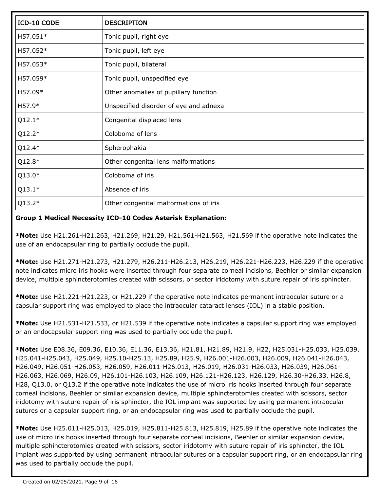| ICD-10 CODE | <b>DESCRIPTION</b>                     |
|-------------|----------------------------------------|
| H57.051*    | Tonic pupil, right eye                 |
| H57.052*    | Tonic pupil, left eye                  |
| H57.053*    | Tonic pupil, bilateral                 |
| H57.059*    | Tonic pupil, unspecified eye           |
| H57.09*     | Other anomalies of pupillary function  |
| H57.9*      | Unspecified disorder of eye and adnexa |
| $Q12.1*$    | Congenital displaced lens              |
| $Q12.2*$    | Coloboma of lens                       |
| $Q12.4*$    | Spherophakia                           |
| $Q12.8*$    | Other congenital lens malformations    |
| $Q13.0*$    | Coloboma of iris                       |
| $Q13.1*$    | Absence of iris                        |
| $Q13.2*$    | Other congenital malformations of iris |

### **Group 1 Medical Necessity ICD-10 Codes Asterisk Explanation:**

**\*Note:** Use H21.261-H21.263, H21.269, H21.29, H21.561-H21.563, H21.569 if the operative note indicates the use of an endocapsular ring to partially occlude the pupil.

**\*Note:** Use H21.271-H21.273, H21.279, H26.211-H26.213, H26.219, H26.221-H26.223, H26.229 if the operative note indicates micro iris hooks were inserted through four separate corneal incisions, Beehler or similar expansion device, multiple sphincterotomies created with scissors, or sector iridotomy with suture repair of iris sphincter.

**\*Note:** Use H21.221-H21.223, or H21.229 if the operative note indicates permanent intraocular suture or a capsular support ring was employed to place the intraocular cataract lenses (IOL) in a stable position.

**\*Note:** Use H21.531-H21.533, or H21.539 if the operative note indicates a capsular support ring was employed or an endocapsular support ring was used to partially occlude the pupil.

**\*Note:** Use E08.36, E09.36, E10.36, E11.36, E13.36, H21.81, H21.89, H21.9, H22, H25.031-H25.033, H25.039, H25.041-H25.043, H25.049, H25.10-H25.13, H25.89, H25.9, H26.001-H26.003, H26.009, H26.041-H26.043, H26.049, H26.051-H26.053, H26.059, H26.011-H26.013, H26.019, H26.031-H26.033, H26.039, H26.061- H26.063, H26.069, H26.09, H26.101-H26.103, H26.109, H26.121-H26.123, H26.129, H26.30-H26.33, H26.8, H28, Q13.0, or Q13.2 if the operative note indicates the use of micro iris hooks inserted through four separate corneal incisions, Beehler or similar expansion device, multiple sphincterotomies created with scissors, sector iridotomy with suture repair of iris sphincter, the IOL implant was supported by using permanent intraocular sutures or a capsular support ring, or an endocapsular ring was used to partially occlude the pupil.

**\*Note:** Use H25.011-H25.013, H25.019, H25.811-H25.813, H25.819, H25.89 if the operative note indicates the use of micro iris hooks inserted through four separate corneal incisions, Beehler or similar expansion device, multiple sphincterotomies created with scissors, sector iridotomy with suture repair of iris sphincter, the IOL implant was supported by using permanent intraocular sutures or a capsular support ring, or an endocapsular ring was used to partially occlude the pupil.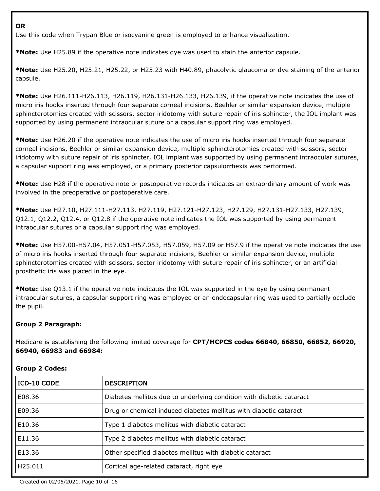#### **OR**

Use this code when Trypan Blue or isocyanine green is employed to enhance visualization.

**\*Note:** Use H25.89 if the operative note indicates dye was used to stain the anterior capsule.

**\*Note:** Use H25.20, H25.21, H25.22, or H25.23 with H40.89, phacolytic glaucoma or dye staining of the anterior capsule.

**\*Note:** Use H26.111-H26.113, H26.119, H26.131-H26.133, H26.139, if the operative note indicates the use of micro iris hooks inserted through four separate corneal incisions, Beehler or similar expansion device, multiple sphincterotomies created with scissors, sector iridotomy with suture repair of iris sphincter, the IOL implant was supported by using permanent intraocular suture or a capsular support ring was employed.

**\*Note:** Use H26.20 if the operative note indicates the use of micro iris hooks inserted through four separate corneal incisions, Beehler or similar expansion device, multiple sphincterotomies created with scissors, sector iridotomy with suture repair of iris sphincter, IOL implant was supported by using permanent intraocular sutures, a capsular support ring was employed, or a primary posterior capsulorrhexis was performed.

**\*Note:** Use H28 if the operative note or postoperative records indicates an extraordinary amount of work was involved in the preoperative or postoperative care.

**\*Note:** Use H27.10, H27.111-H27.113, H27.119, H27.121-H27.123, H27.129, H27.131-H27.133, H27.139, Q12.1, Q12.2, Q12.4, or Q12.8 if the operative note indicates the IOL was supported by using permanent intraocular sutures or a capsular support ring was employed.

**\*Note:** Use H57.00-H57.04, H57.051-H57.053, H57.059, H57.09 or H57.9 if the operative note indicates the use of micro iris hooks inserted through four separate incisions, Beehler or similar expansion device, multiple sphincterotomies created with scissors, sector iridotomy with suture repair of iris sphincter, or an artificial prosthetic iris was placed in the eye.

**\*Note:** Use Q13.1 if the operative note indicates the IOL was supported in the eye by using permanent intraocular sutures, a capsular support ring was employed or an endocapsular ring was used to partially occlude the pupil.

# **Group 2 Paragraph:**

Medicare is establishing the following limited coverage for **CPT/HCPCS codes 66840, 66850, 66852, 66920, 66940, 66983 and 66984:**

| ICD-10 CODE         | <b>DESCRIPTION</b>                                                   |
|---------------------|----------------------------------------------------------------------|
| E08.36              | Diabetes mellitus due to underlying condition with diabetic cataract |
| E09.36              | Drug or chemical induced diabetes mellitus with diabetic cataract    |
| E10.36              | Type 1 diabetes mellitus with diabetic cataract                      |
| E11.36              | Type 2 diabetes mellitus with diabetic cataract                      |
| E13.36              | Other specified diabetes mellitus with diabetic cataract             |
| H <sub>25.011</sub> | Cortical age-related cataract, right eye                             |

#### **Group 2 Codes:**

Created on 02/05/2021. Page 10 of 16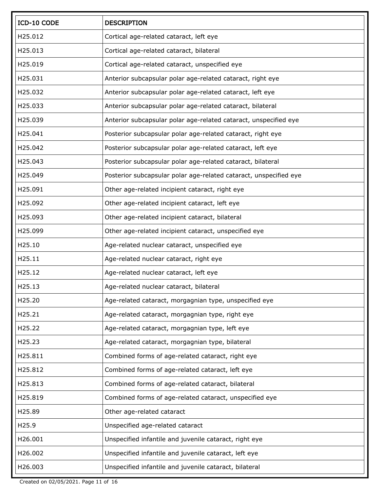| ICD-10 CODE | <b>DESCRIPTION</b>                                                |
|-------------|-------------------------------------------------------------------|
| H25.012     | Cortical age-related cataract, left eye                           |
| H25.013     | Cortical age-related cataract, bilateral                          |
| H25.019     | Cortical age-related cataract, unspecified eye                    |
| H25.031     | Anterior subcapsular polar age-related cataract, right eye        |
| H25.032     | Anterior subcapsular polar age-related cataract, left eye         |
| H25.033     | Anterior subcapsular polar age-related cataract, bilateral        |
| H25.039     | Anterior subcapsular polar age-related cataract, unspecified eye  |
| H25.041     | Posterior subcapsular polar age-related cataract, right eye       |
| H25.042     | Posterior subcapsular polar age-related cataract, left eye        |
| H25.043     | Posterior subcapsular polar age-related cataract, bilateral       |
| H25.049     | Posterior subcapsular polar age-related cataract, unspecified eye |
| H25.091     | Other age-related incipient cataract, right eye                   |
| H25.092     | Other age-related incipient cataract, left eye                    |
| H25.093     | Other age-related incipient cataract, bilateral                   |
| H25.099     | Other age-related incipient cataract, unspecified eye             |
| H25.10      | Age-related nuclear cataract, unspecified eye                     |
| H25.11      | Age-related nuclear cataract, right eye                           |
| H25.12      | Age-related nuclear cataract, left eye                            |
| H25.13      | Age-related nuclear cataract, bilateral                           |
| H25.20      | Age-related cataract, morgagnian type, unspecified eye            |
| H25.21      | Age-related cataract, morgagnian type, right eye                  |
| H25.22      | Age-related cataract, morgagnian type, left eye                   |
| H25.23      | Age-related cataract, morgagnian type, bilateral                  |
| H25.811     | Combined forms of age-related cataract, right eye                 |
| H25.812     | Combined forms of age-related cataract, left eye                  |
| H25.813     | Combined forms of age-related cataract, bilateral                 |
| H25.819     | Combined forms of age-related cataract, unspecified eye           |
| H25.89      | Other age-related cataract                                        |
| H25.9       | Unspecified age-related cataract                                  |
| H26.001     | Unspecified infantile and juvenile cataract, right eye            |
| H26.002     | Unspecified infantile and juvenile cataract, left eye             |
| H26.003     | Unspecified infantile and juvenile cataract, bilateral            |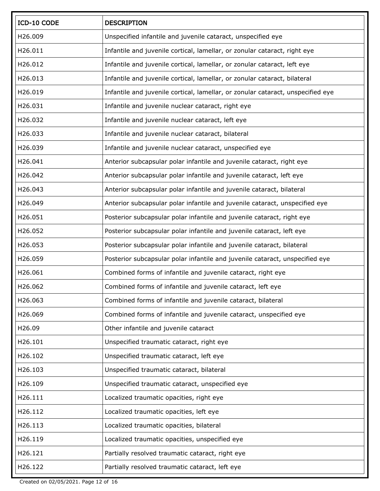| ICD-10 CODE | <b>DESCRIPTION</b>                                                              |
|-------------|---------------------------------------------------------------------------------|
| H26.009     | Unspecified infantile and juvenile cataract, unspecified eye                    |
| H26.011     | Infantile and juvenile cortical, lamellar, or zonular cataract, right eye       |
| H26.012     | Infantile and juvenile cortical, lamellar, or zonular cataract, left eye        |
| H26.013     | Infantile and juvenile cortical, lamellar, or zonular cataract, bilateral       |
| H26.019     | Infantile and juvenile cortical, lamellar, or zonular cataract, unspecified eye |
| H26.031     | Infantile and juvenile nuclear cataract, right eye                              |
| H26.032     | Infantile and juvenile nuclear cataract, left eye                               |
| H26.033     | Infantile and juvenile nuclear cataract, bilateral                              |
| H26.039     | Infantile and juvenile nuclear cataract, unspecified eye                        |
| H26.041     | Anterior subcapsular polar infantile and juvenile cataract, right eye           |
| H26.042     | Anterior subcapsular polar infantile and juvenile cataract, left eye            |
| H26.043     | Anterior subcapsular polar infantile and juvenile cataract, bilateral           |
| H26.049     | Anterior subcapsular polar infantile and juvenile cataract, unspecified eye     |
| H26.051     | Posterior subcapsular polar infantile and juvenile cataract, right eye          |
| H26.052     | Posterior subcapsular polar infantile and juvenile cataract, left eye           |
| H26.053     | Posterior subcapsular polar infantile and juvenile cataract, bilateral          |
| H26.059     | Posterior subcapsular polar infantile and juvenile cataract, unspecified eye    |
| H26.061     | Combined forms of infantile and juvenile cataract, right eye                    |
| H26.062     | Combined forms of infantile and juvenile cataract, left eye                     |
| H26.063     | Combined forms of infantile and juvenile cataract, bilateral                    |
| H26.069     | Combined forms of infantile and juvenile cataract, unspecified eye              |
| H26.09      | Other infantile and juvenile cataract                                           |
| H26.101     | Unspecified traumatic cataract, right eye                                       |
| H26.102     | Unspecified traumatic cataract, left eye                                        |
| H26.103     | Unspecified traumatic cataract, bilateral                                       |
| H26.109     | Unspecified traumatic cataract, unspecified eye                                 |
| H26.111     | Localized traumatic opacities, right eye                                        |
| H26.112     | Localized traumatic opacities, left eye                                         |
| H26.113     | Localized traumatic opacities, bilateral                                        |
| H26.119     | Localized traumatic opacities, unspecified eye                                  |
| H26.121     | Partially resolved traumatic cataract, right eye                                |
| H26.122     | Partially resolved traumatic cataract, left eye                                 |

Created on 02/05/2021. Page 12 of 16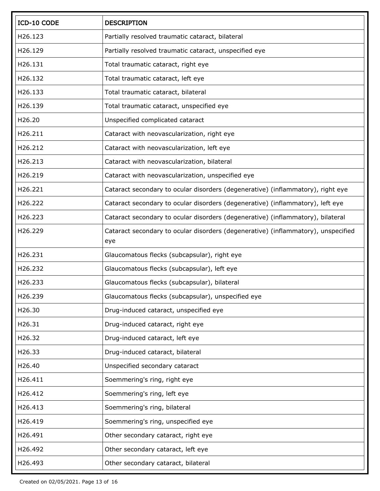| ICD-10 CODE | <b>DESCRIPTION</b>                                                                       |
|-------------|------------------------------------------------------------------------------------------|
| H26.123     | Partially resolved traumatic cataract, bilateral                                         |
| H26.129     | Partially resolved traumatic cataract, unspecified eye                                   |
| H26.131     | Total traumatic cataract, right eye                                                      |
| H26.132     | Total traumatic cataract, left eye                                                       |
| H26.133     | Total traumatic cataract, bilateral                                                      |
| H26.139     | Total traumatic cataract, unspecified eye                                                |
| H26.20      | Unspecified complicated cataract                                                         |
| H26.211     | Cataract with neovascularization, right eye                                              |
| H26.212     | Cataract with neovascularization, left eye                                               |
| H26.213     | Cataract with neovascularization, bilateral                                              |
| H26.219     | Cataract with neovascularization, unspecified eye                                        |
| H26.221     | Cataract secondary to ocular disorders (degenerative) (inflammatory), right eye          |
| H26.222     | Cataract secondary to ocular disorders (degenerative) (inflammatory), left eye           |
| H26.223     | Cataract secondary to ocular disorders (degenerative) (inflammatory), bilateral          |
| H26.229     | Cataract secondary to ocular disorders (degenerative) (inflammatory), unspecified<br>eye |
| H26.231     | Glaucomatous flecks (subcapsular), right eye                                             |
| H26.232     | Glaucomatous flecks (subcapsular), left eye                                              |
| H26.233     | Glaucomatous flecks (subcapsular), bilateral                                             |
| H26.239     | Glaucomatous flecks (subcapsular), unspecified eye                                       |
| H26.30      | Drug-induced cataract, unspecified eye                                                   |
| H26.31      | Drug-induced cataract, right eye                                                         |
| H26.32      | Drug-induced cataract, left eye                                                          |
| H26.33      | Drug-induced cataract, bilateral                                                         |
| H26.40      | Unspecified secondary cataract                                                           |
| H26.411     | Soemmering's ring, right eye                                                             |
| H26.412     | Soemmering's ring, left eye                                                              |
| H26.413     | Soemmering's ring, bilateral                                                             |
| H26.419     | Soemmering's ring, unspecified eye                                                       |
| H26.491     | Other secondary cataract, right eye                                                      |
| H26.492     | Other secondary cataract, left eye                                                       |
| H26.493     | Other secondary cataract, bilateral                                                      |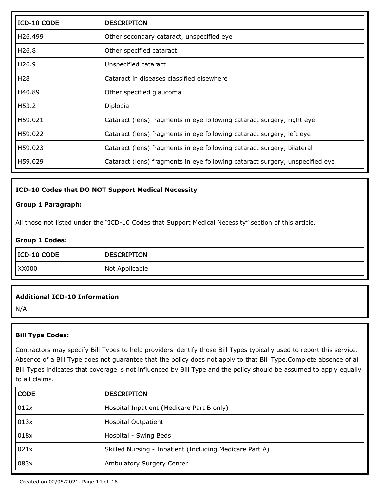| ICD-10 CODE          | <b>DESCRIPTION</b>                                                           |
|----------------------|------------------------------------------------------------------------------|
| H <sub>26</sub> .499 | Other secondary cataract, unspecified eye                                    |
| H <sub>26.8</sub>    | Other specified cataract                                                     |
| H <sub>26.9</sub>    | Unspecified cataract                                                         |
| H <sub>28</sub>      | Cataract in diseases classified elsewhere                                    |
| H40.89               | Other specified glaucoma                                                     |
| H53.2                | Diplopia                                                                     |
| H59.021              | Cataract (lens) fragments in eye following cataract surgery, right eye       |
| H59.022              | Cataract (lens) fragments in eye following cataract surgery, left eye        |
| H59.023              | Cataract (lens) fragments in eye following cataract surgery, bilateral       |
| H59.029              | Cataract (lens) fragments in eye following cataract surgery, unspecified eye |

#### **ICD-10 Codes that DO NOT Support Medical Necessity**

#### **Group 1 Paragraph:**

All those not listed under the "ICD-10 Codes that Support Medical Necessity" section of this article.

#### **Group 1 Codes:**

| $ ICD-10 CODE$ | <b>DESCRIPTION</b> |
|----------------|--------------------|
| XX000          | Not Applicable     |

#### **Additional ICD-10 Information**

N/A

#### **Bill Type Codes:**

Contractors may specify Bill Types to help providers identify those Bill Types typically used to report this service. Absence of a Bill Type does not guarantee that the policy does not apply to that Bill Type.Complete absence of all Bill Types indicates that coverage is not influenced by Bill Type and the policy should be assumed to apply equally to all claims.

| <b>CODE</b> | <b>DESCRIPTION</b>                                      |
|-------------|---------------------------------------------------------|
| 012x        | Hospital Inpatient (Medicare Part B only)               |
| 013x        | <b>Hospital Outpatient</b>                              |
| 018x        | Hospital - Swing Beds                                   |
| 021x        | Skilled Nursing - Inpatient (Including Medicare Part A) |
| 083x        | Ambulatory Surgery Center                               |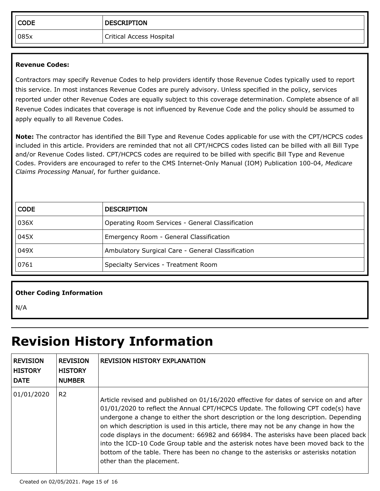| <b>CODE</b> | <b>DESCRIPTION</b>       |
|-------------|--------------------------|
| 085x        | Critical Access Hospital |

#### **Revenue Codes:**

Contractors may specify Revenue Codes to help providers identify those Revenue Codes typically used to report this service. In most instances Revenue Codes are purely advisory. Unless specified in the policy, services reported under other Revenue Codes are equally subject to this coverage determination. Complete absence of all Revenue Codes indicates that coverage is not influenced by Revenue Code and the policy should be assumed to apply equally to all Revenue Codes.

**Note:** The contractor has identified the Bill Type and Revenue Codes applicable for use with the CPT/HCPCS codes included in this article. Providers are reminded that not all CPT/HCPCS codes listed can be billed with all Bill Type and/or Revenue Codes listed. CPT/HCPCS codes are required to be billed with specific Bill Type and Revenue Codes. Providers are encouraged to refer to the CMS Internet-Only Manual (IOM) Publication 100-04, *Medicare Claims Processing Manual*, for further guidance.

| <b>CODE</b> | <b>DESCRIPTION</b>                                |
|-------------|---------------------------------------------------|
| 036X        | Operating Room Services - General Classification  |
| 045X        | Emergency Room - General Classification           |
| 049X        | Ambulatory Surgical Care - General Classification |
| 0761        | Specialty Services - Treatment Room               |

#### **Other Coding Information**

N/A

# **Revision History Information**

| <b>REVISION</b><br><b>HISTORY</b><br><b>DATE</b> | <b>REVISION</b><br><b>HISTORY</b><br><b>NUMBER</b> | <b>REVISION HISTORY EXPLANATION</b>                                                                                                                                                                                                                                                                                                                                                                                                                                                                                                                                                                                                                              |
|--------------------------------------------------|----------------------------------------------------|------------------------------------------------------------------------------------------------------------------------------------------------------------------------------------------------------------------------------------------------------------------------------------------------------------------------------------------------------------------------------------------------------------------------------------------------------------------------------------------------------------------------------------------------------------------------------------------------------------------------------------------------------------------|
| 01/01/2020                                       | R <sub>2</sub>                                     | Article revised and published on 01/16/2020 effective for dates of service on and after<br>01/01/2020 to reflect the Annual CPT/HCPCS Update. The following CPT code(s) have<br>undergone a change to either the short description or the long description. Depending<br>on which description is used in this article, there may not be any change in how the<br>code displays in the document: 66982 and 66984. The asterisks have been placed back<br>into the ICD-10 Code Group table and the asterisk notes have been moved back to the<br>bottom of the table. There has been no change to the asterisks or asterisks notation<br>other than the placement. |